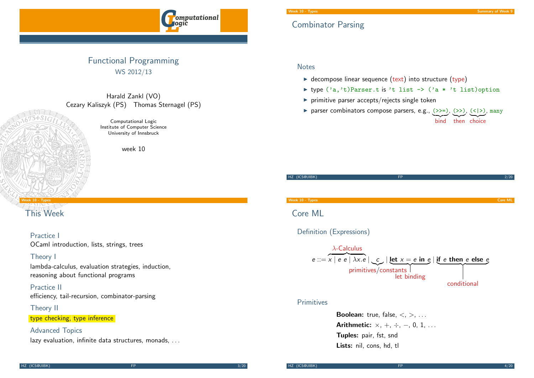

## Functional Programming WS 2012/13

Harald Zankl (VO) Cezary Kaliszyk (PS) Thomas Sternagel (PS)

> Computational Logic Institute of Computer Science University of Innsbruck

> > week 10

#### Week 10 - Types

## [Th](#page-0-0)is Week

## Practice I

OCaml introduction, lists, strings, trees

#### Theory I

lambda-calculus, evaluation strategies, induction, reasoning about functional programs

Practice II efficiency, tail-recursion, combinator-parsing

#### Theory II

type checking, type inference

## Advanced Topics

lazy evaluation, infinite data structures, monads, ...

## Combinator Parsing

#### **Notes**

- $\triangleright$  decompose linear sequence (text) into structure (type)
- ▶ type ('a,'t)Parser.t is 't list -> ('a \* 't list)option
- $\blacktriangleright$  primitive parser accepts/rejects single token
- parser combinators compose parsers, e.g.,  $(\gg)=$ ),  $(\gg)$ ,  $(\ll)$ ), many bind then choice

| HZ (ICS@UIBK)            | <b>FP</b>                                                                                                                                                 | 2/20           |
|--------------------------|-----------------------------------------------------------------------------------------------------------------------------------------------------------|----------------|
|                          |                                                                                                                                                           |                |
| Week 10 - Types          |                                                                                                                                                           | <b>Core ML</b> |
| Core ML                  |                                                                                                                                                           |                |
| Definition (Expressions) |                                                                                                                                                           |                |
| $\lambda$ -Calculus      | $e ::= x   e e   \lambda x.e   c   \text{let } x = e \text{ in } e   \text{if } e \text{ then } e \text{ else } e$<br>primitives/constants<br>let binding |                |

#### <span id="page-0-0"></span>Primitives

**Boolean:** true, false,  $\lt$ ,  $\gt$ , ... Arithmetic:  $\times$ ,  $+$ ,  $\div$ ,  $-$ , 0, 1, ... Tuples: pair, fst, snd Lists: nil, cons, hd, tl

conditional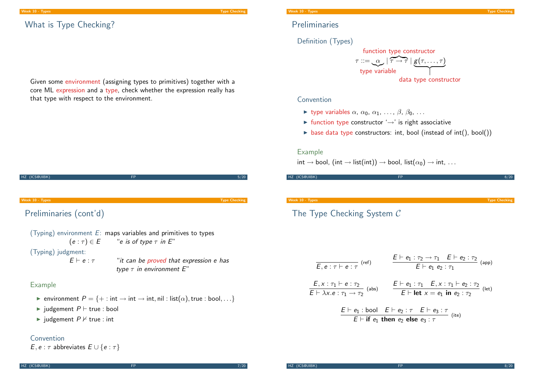#### Week 10 - Types Type Checking

# What is Type Checking?

Given some environment (assigning types to primitives) together with a core ML expression and a type, check whether the expression really has that type with respect to the environment.



## Convention

 $E, e : \tau$  abbreviates  $E \cup \{e : \tau\}$ 

## Preliminaries

Definition (Types)



#### Convention

- $\blacktriangleright$  type variables  $\alpha$ ,  $\alpha_0$ ,  $\alpha_1$ , ...,  $\beta$ ,  $\beta_0$ , ...
- $\triangleright$  function type constructor ' $\rightarrow$ ' is right associative
- $\triangleright$  base data type constructors: int, bool (instead of int(), bool())

#### Example

 $int \rightarrow bool$ , (int  $\rightarrow$  list(int))  $\rightarrow$  bool, list( $\alpha_0$ )  $\rightarrow$  int, ...

HZ (ICS@UIBK) FP 6/20

Week 10 - Types Types Type Checking Type Checking Type Checking Type Checking Type Checking Type Checking Type Checking Type Checking Type Checking Type Checking Type Checking Type Checking Type Checking Type Checking Type

# The Type Checking System C

$$
\frac{E \vdash e_1 : \tau_2 \to \tau_1 \quad E \vdash e_2 : \tau_2}{E \vdash e_1 \ e_2 : \tau_1} \quad \text{(app)}
$$
\n
$$
\frac{E, x : \tau_1 \vdash e : \tau_2}{E \vdash \lambda x. e : \tau_1 \to \tau_2} \quad \text{(abs)}
$$
\n
$$
\frac{E \vdash e_1 : \tau_1 \quad E, x : \tau_1 \vdash e_2 : \tau_2}{E \vdash \text{let } x = e_1 \text{ in } e_2 : \tau_2} \quad \text{(let)}
$$
\n
$$
\frac{E \vdash e_1 : \text{bool} \quad E \vdash e_2 : \tau \quad E \vdash e_3 : \tau}{E \vdash \text{if } e_1 \text{ then } e_2 \text{ else } e_3 : \tau} \quad \text{(ite)}
$$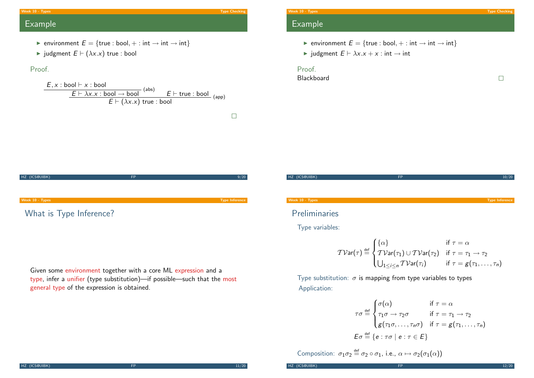#### Week 10 - Types Types Type Checking Type Checking Type Checking Type Checking Type Checking Type Checking Type Checking Type Checking Type Checking Type Checking Type Checking Type Checking Type Checking Type Checking Type

 $\Box$ 

## Example

- **►** environment  $E = \{true : bool, + : int \rightarrow int \rightarrow int\}$
- iudgment  $E \vdash (\lambda x.x)$  true : bool

## Proof.

$$
\frac{E, x : \text{bool} \vdash x : \text{bool}}{E \vdash \lambda x.x : \text{bool} \rightarrow \text{bool}} \xrightarrow{\text{(abs)}} E \vdash \text{true} : \text{bool}} \xrightarrow{\text{(app)}}
$$

$$
E \vdash (\lambda x.x) \text{ true} : \text{bool}
$$



Given some environment together with a core ML expression and a type, infer a unifier (type substitution)—if possible—such that the most general type of the expression is obtained.

# week 10 - Types Types Types Type Checking and the control of the control of the checking of the checking of the checking of the checking of the checking of the checking of the checking of the checking of the checking of th Example

- **►** environment  $E = \{true : bool, + : int \rightarrow int \rightarrow int\}$
- $\triangleright$  judgment  $E \vdash \lambda x.x + x : \text{int} \rightarrow \text{int}$

## Proof.

Blackboard

HZ (ICS@UIBK) **FP** 10/20

#### Week 10 - Types Types Type Inference

Preliminaries

Type variables:

$$
\mathcal{TV}\text{ar}(\tau) \stackrel{\text{def}}{=} \begin{cases} \{\alpha\} & \text{if } \tau = \alpha \\ \mathcal{TV}\text{ar}(\tau_1) \cup \mathcal{TV}\text{ar}(\tau_2) & \text{if } \tau = \tau_1 \to \tau_2 \\ \bigcup_{1 \leq i \leq n} \mathcal{TV}\text{ar}(\tau_i) & \text{if } \tau = g(\tau_1, \ldots, \tau_n) \end{cases}
$$

Type substitution:  $\sigma$  is mapping from type variables to types Application:

$$
\tau \sigma \stackrel{\text{def}}{=} \begin{cases}\n\sigma(\alpha) & \text{if } \tau = \alpha \\
\tau_1 \sigma \to \tau_2 \sigma & \text{if } \tau = \tau_1 \to \tau_2 \\
g(\tau_1 \sigma, \dots, \tau_n \sigma) & \text{if } \tau = g(\tau_1, \dots, \tau_n)\n\end{cases}
$$
\n
$$
E \sigma \stackrel{\text{def}}{=} \{e : \tau \sigma \mid e : \tau \in E\}
$$

Composition:  $\sigma_1 \sigma_2 \stackrel{\text{def}}{=} \sigma_2 \circ \sigma_1$ , i.e.,  $\alpha \mapsto \sigma_2(\sigma_1(\alpha))$ 

HZ (ICS@UIBK) **FP 12/20** 

 $\Box$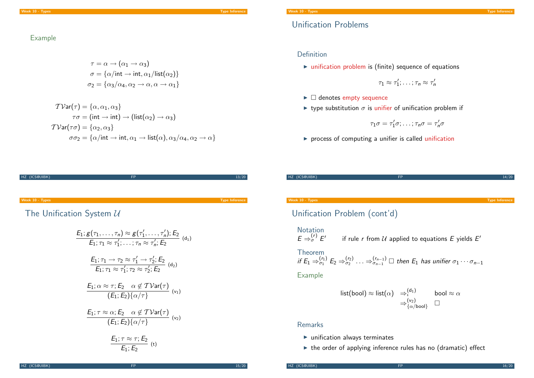## Unification Problems

#### Example

$$
\tau = \alpha \rightarrow (\alpha_1 \rightarrow \alpha_3)
$$

$$
\sigma = {\alpha / \text{int} \rightarrow \text{int}, \alpha_1 / \text{list}(\alpha_2)}
$$

$$
\sigma_2 = {\alpha_3 / \alpha_4, \alpha_2 \rightarrow \alpha, \alpha \rightarrow \alpha_1}
$$

$$
\mathcal{TVar}(\tau) = \{\alpha, \alpha_1, \alpha_3\}
$$

$$
\tau\sigma = (\text{int} \rightarrow \text{int}) \rightarrow (\text{list}(\alpha_2) \rightarrow \alpha_3)
$$

$$
\mathcal{TVar}(\tau\sigma) = \{\alpha_2, \alpha_3\}
$$

$$
\sigma\sigma_2 = \{\alpha/\text{int} \rightarrow \text{int}, \alpha_1 \rightarrow \text{list}(\alpha), \alpha_3/\alpha_4, \alpha_2 \rightarrow \alpha\}
$$

#### Definition

 $\triangleright$  unification problem is (finite) sequence of equations

 $\tau_1 \approx \tau_1'; \ldots; \tau_n \approx \tau_n'$ 

- $\blacktriangleright$   $\Box$  denotes empty sequence
- **In type substitution**  $\sigma$  is unifier of unification problem if

$$
\tau_1\sigma=\tau_1'\sigma;\ldots;\tau_n\sigma=\tau_n'\sigma
$$

 $\triangleright$  process of computing a unifier is called unification

| HZ (ICS@UIBK)   | FP | 13/20                 |
|-----------------|----|-----------------------|
|                 |    |                       |
|                 |    |                       |
|                 |    |                       |
|                 |    |                       |
| Week 10 - Types |    | <b>Type Inference</b> |
|                 |    |                       |
|                 |    |                       |

[Th](#page-0-0)e Unification System  $U$ 

$$
E_1; g(\tau_1, \ldots, \tau_n) \approx g(\tau'_1, \ldots, \tau'_n); E_2
$$
\n
$$
E_1; \tau_1 \approx \tau'_1; \ldots; \tau_n \approx \tau'_n; E_2
$$
\n
$$
\frac{E_1; \tau_1 \rightarrow \tau_2 \approx \tau'_1 \rightarrow \tau'_2; E_2}{E_1; \tau_1 \approx \tau'_1; \tau_2 \approx \tau'_2; E_2}
$$
\n
$$
\frac{E_1; \alpha \approx \tau; E_2 \quad \alpha \notin T \text{Var}(\tau)}{(E_1; E_2) \{\alpha/\tau\}}
$$
\n
$$
\frac{E_1; \tau \approx \alpha; E_2 \quad \alpha \notin T \text{Var}(\tau)}{(E_1; E_2) \{\alpha/\tau\}}
$$
\n
$$
\frac{E_1; \tau \approx \tau; E_2}{(E_1; E_2) \{\alpha/\tau\}}
$$
\n
$$
\frac{E_1; \tau \approx \tau; E_2}{E_1; E_2}
$$
\n
$$
\frac{E_1; \tau \approx \tau; E_2}{(E_1; E_2) \{\alpha/\tau\}}
$$

HZ (ICS@UIBK) FP 14/20 14/20 Week 10 - Types Type Inference Unification Problem (cont'd) **Notation**  $E \Rightarrow_{\sigma}^{(r)} E'$ if rule r from  $\mathcal U$  applied to equations  $E$  yields  $E'$ Theorem if  $E_1 \Rightarrow_{\sigma_1}^{(r_1)} E_2 \Rightarrow_{\sigma_2}^{(r_2)} \ldots \Rightarrow_{\sigma_{n-1}}^{(r_{n-1})} \square$  then  $E_1$  has unifier  $\sigma_1 \cdots \sigma_{n-1}$ Example list $(\textsf{bool}) \approx \textsf{list}(\alpha) \;\; \Rightarrow_{\iota}^{(\mathsf{d}_1)} \qquad \; \textsf{bool} \approx \alpha$  $\Rightarrow_{\{\alpha/\mathsf{bool}\}}^{(\mathsf{v}_2)}$   $\Box$ 

### Remarks

- $\blacktriangleright$  unification always terminates
- $\triangleright$  the order of applying inference rules has no (dramatic) effect